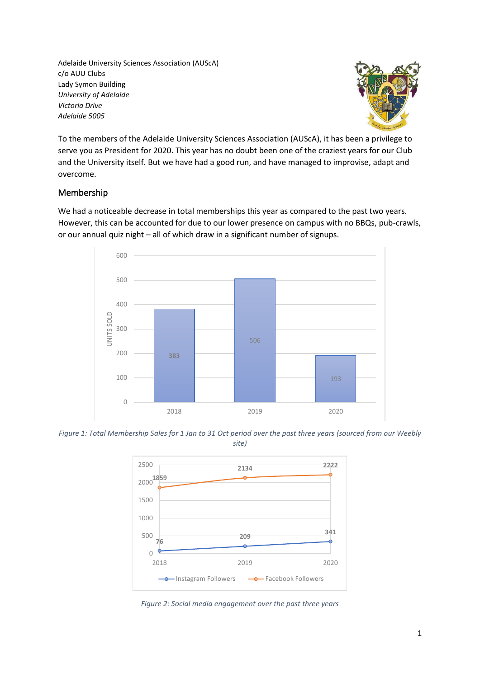Adelaide University Sciences Association (AUScA) c/o AUU Clubs Lady Symon Building *University of Adelaide Victoria Drive Adelaide 5005*



To the members of the Adelaide University Sciences Association (AUScA), it has been a privilege to serve you as President for 2020. This year has no doubt been one of the craziest years for our Club and the University itself. But we have had a good run, and have managed to improvise, adapt and overcome.

## Membership

We had a noticeable decrease in total memberships this year as compared to the past two years. However, this can be accounted for due to our lower presence on campus with no BBQs, pub-crawls, or our annual quiz night – all of which draw in a significant number of signups.



*Figure 1: Total Membership Sales for 1 Jan to 31 Oct period over the past three years (sourced from our Weebly site)*



*Figure 2: Social media engagement over the past three years*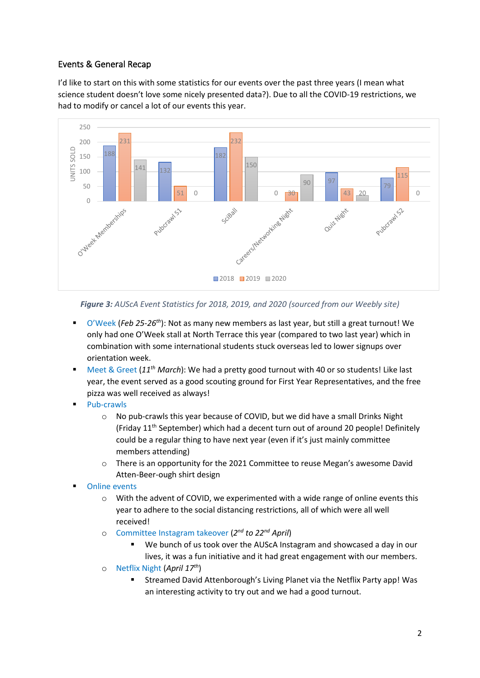# Events & General Recap

I'd like to start on this with some statistics for our events over the past three years (I mean what science student doesn't love some nicely presented data?). Due to all the COVID-19 restrictions, we had to modify or cancel a lot of our events this year.



#### *Figure 3: AUScA Event Statistics for 2018, 2019, and 2020 (sourced from our Weebly site)*

- O'Week (*Feb 25-26<sup>th</sup>*): Not as many new members as last year, but still a great turnout! We only had one O'Week stall at North Terrace this year (compared to two last year) which in combination with some international students stuck overseas led to lower signups over orientation week.
- Meet & Greet (11<sup>th</sup> *March*): We had a pretty good turnout with 40 or so students! Like last year, the event served as a good scouting ground for First Year Representatives, and the free pizza was well received as always!
- Pub-crawls
	- o No pub-crawls this year because of COVID, but we did have a small Drinks Night (Friday  $11<sup>th</sup>$  September) which had a decent turn out of around 20 people! Definitely could be a regular thing to have next year (even if it's just mainly committee members attending)
	- $\circ$  There is an opportunity for the 2021 Committee to reuse Megan's awesome David Atten-Beer-ough shirt design
- **Online events** 
	- $\circ$  With the advent of COVID, we experimented with a wide range of online events this year to adhere to the social distancing restrictions, all of which were all well received!
	- o Committee Instagram takeover (*2 nd to 22nd April*)
		- We bunch of us took over the AUScA Instagram and showcased a day in our lives, it was a fun initiative and it had great engagement with our members.
	- o Netflix Night (*April 17th*)
		- Streamed David Attenborough's Living Planet via the Netflix Party app! Was an interesting activity to try out and we had a good turnout.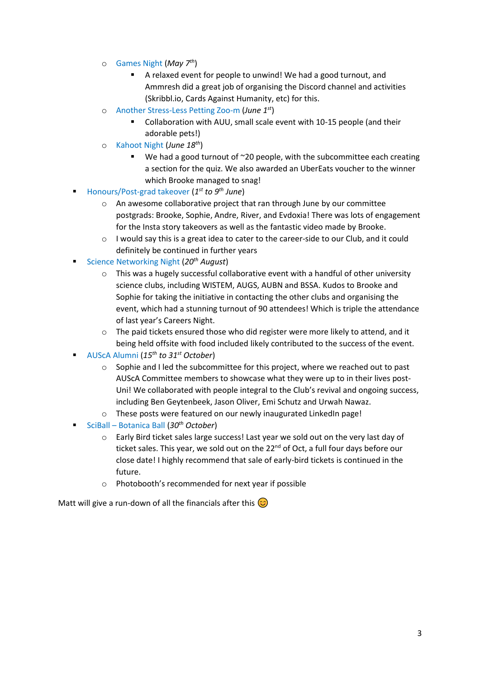- o Games Night (*May 7th*)
	- A relaxed event for people to unwind! We had a good turnout, and Ammresh did a great job of organising the Discord channel and activities (Skribbl.io, Cards Against Humanity, etc) for this.
- o Another Stress-Less Petting Zoo-m (*June 1st*)
	- Collaboration with AUU, small scale event with 10-15 people (and their adorable pets!)
- o Kahoot Night (*June 18th*)
	- We had a good turnout of ~20 people, with the subcommittee each creating a section for the quiz. We also awarded an UberEats voucher to the winner which Brooke managed to snag!
- Honours/Post-grad takeover (1<sup>st</sup> to 9<sup>th</sup> June)
	- o An awesome collaborative project that ran through June by our committee postgrads: Brooke, Sophie, Andre, River, and Evdoxia! There was lots of engagement for the Insta story takeovers as well as the fantastic video made by Brooke.
	- $\circ$  I would say this is a great idea to cater to the career-side to our Club, and it could definitely be continued in further years
- Science Networking Night (*20th August*)
	- $\circ$  This was a hugely successful collaborative event with a handful of other university science clubs, including WISTEM, AUGS, AUBN and BSSA. Kudos to Brooke and Sophie for taking the initiative in contacting the other clubs and organising the event, which had a stunning turnout of 90 attendees! Which is triple the attendance of last year's Careers Night.
	- $\circ$  The paid tickets ensured those who did register were more likely to attend, and it being held offsite with food included likely contributed to the success of the event.
- AUScA Alumni (*15 th to 31st October*)
	- $\circ$  Sophie and I led the subcommittee for this project, where we reached out to past AUScA Committee members to showcase what they were up to in their lives post-Uni! We collaborated with people integral to the Club's revival and ongoing success, including Ben Geytenbeek, Jason Oliver, Emi Schutz and Urwah Nawaz.
	- o These posts were featured on our newly inaugurated LinkedIn page!
- SciBall Botanica Ball (*30th October*)
	- o Early Bird ticket sales large success! Last year we sold out on the very last day of ticket sales. This year, we sold out on the  $22^{nd}$  of Oct, a full four days before our close date! I highly recommend that sale of early-bird tickets is continued in the future.
	- o Photobooth's recommended for next year if possible

Matt will give a run-down of all the financials after this  $\circled{c}$